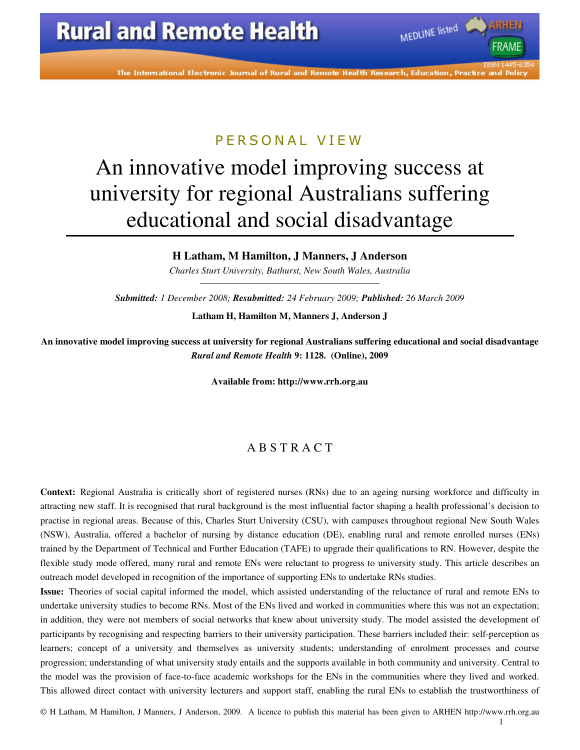

MEDLINE listed

### P F R S O N A L V I F W

# An innovative model improving success at university for regional Australians suffering educational and social disadvantage

### **H Latham, M Hamilton, J Manners, J Anderson**

*Charles Sturt University, Bathurst, New South Wales, Australia* 

*Submitted: 1 December 2008; Resubmitted: 24 February 2009; Published: 26 March 2009*  **Latham H, Hamilton M, Manners J, Anderson J** 

**An innovative model improving success at university for regional Australians suffering educational and social disadvantage**  *Rural and Remote Health* **9: 1128. (Online), 2009** 

**Available from: http://www.rrh.org.au** 

### A B S T R A C T

**Context:** Regional Australia is critically short of registered nurses (RNs) due to an ageing nursing workforce and difficulty in attracting new staff. It is recognised that rural background is the most influential factor shaping a health professional's decision to practise in regional areas. Because of this, Charles Sturt University (CSU), with campuses throughout regional New South Wales (NSW), Australia, offered a bachelor of nursing by distance education (DE), enabling rural and remote enrolled nurses (ENs) trained by the Department of Technical and Further Education (TAFE) to upgrade their qualifications to RN. However, despite the flexible study mode offered, many rural and remote ENs were reluctant to progress to university study. This article describes an outreach model developed in recognition of the importance of supporting ENs to undertake RNs studies.

**Issue:** Theories of social capital informed the model, which assisted understanding of the reluctance of rural and remote ENs to undertake university studies to become RNs. Most of the ENs lived and worked in communities where this was not an expectation; in addition, they were not members of social networks that knew about university study. The model assisted the development of participants by recognising and respecting barriers to their university participation. These barriers included their: self-perception as learners; concept of a university and themselves as university students; understanding of enrolment processes and course progression; understanding of what university study entails and the supports available in both community and university. Central to the model was the provision of face-to-face academic workshops for the ENs in the communities where they lived and worked. This allowed direct contact with university lecturers and support staff, enabling the rural ENs to establish the trustworthiness of

© H Latham, M Hamilton, J Manners, J Anderson, 2009. A licence to publish this material has been given to ARHEN http://www.rrh.org.au

1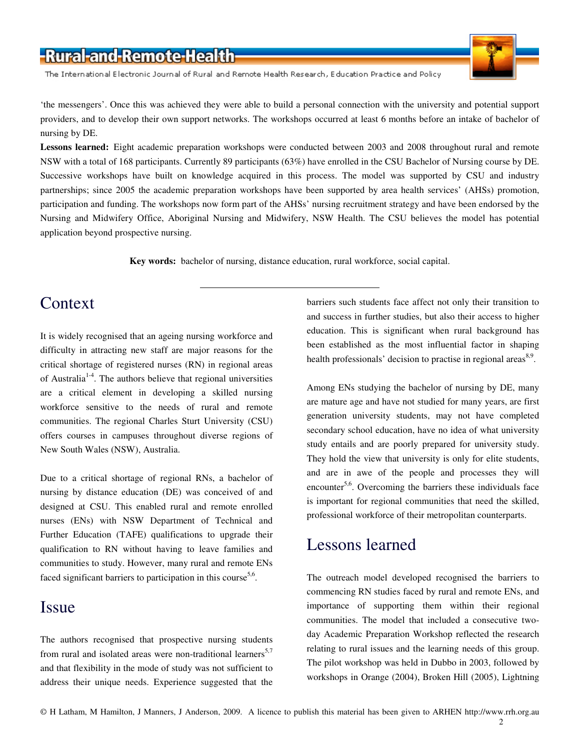The International Electronic Journal of Rural and Remote Health Research, Education Practice and Policy

'the messengers'. Once this was achieved they were able to build a personal connection with the university and potential support providers, and to develop their own support networks. The workshops occurred at least 6 months before an intake of bachelor of nursing by DE.

Lessons learned: Eight academic preparation workshops were conducted between 2003 and 2008 throughout rural and remote NSW with a total of 168 participants. Currently 89 participants (63%) have enrolled in the CSU Bachelor of Nursing course by DE. Successive workshops have built on knowledge acquired in this process. The model was supported by CSU and industry partnerships; since 2005 the academic preparation workshops have been supported by area health services' (AHSs) promotion, participation and funding. The workshops now form part of the AHSs' nursing recruitment strategy and have been endorsed by the Nursing and Midwifery Office, Aboriginal Nursing and Midwifery, NSW Health. The CSU believes the model has potential application beyond prospective nursing.

**Key words:** bachelor of nursing, distance education, rural workforce, social capital.

### Context

It is widely recognised that an ageing nursing workforce and difficulty in attracting new staff are major reasons for the critical shortage of registered nurses (RN) in regional areas of Australia1-4. The authors believe that regional universities are a critical element in developing a skilled nursing workforce sensitive to the needs of rural and remote communities. The regional Charles Sturt University (CSU) offers courses in campuses throughout diverse regions of New South Wales (NSW), Australia.

Due to a critical shortage of regional RNs, a bachelor of nursing by distance education (DE) was conceived of and designed at CSU. This enabled rural and remote enrolled nurses (ENs) with NSW Department of Technical and Further Education (TAFE) qualifications to upgrade their qualification to RN without having to leave families and communities to study. However, many rural and remote ENs faced significant barriers to participation in this course<sup>5,6</sup>.

### **Issue**

The authors recognised that prospective nursing students from rural and isolated areas were non-traditional learners<sup>5,7</sup> and that flexibility in the mode of study was not sufficient to address their unique needs. Experience suggested that the barriers such students face affect not only their transition to and success in further studies, but also their access to higher education. This is significant when rural background has been established as the most influential factor in shaping health professionals' decision to practise in regional areas<sup>8,9</sup>.

Among ENs studying the bachelor of nursing by DE, many are mature age and have not studied for many years, are first generation university students, may not have completed secondary school education, have no idea of what university study entails and are poorly prepared for university study. They hold the view that university is only for elite students, and are in awe of the people and processes they will encounter<sup>5,6</sup>. Overcoming the barriers these individuals face is important for regional communities that need the skilled, professional workforce of their metropolitan counterparts.

### Lessons learned

The outreach model developed recognised the barriers to commencing RN studies faced by rural and remote ENs, and importance of supporting them within their regional communities. The model that included a consecutive twoday Academic Preparation Workshop reflected the research relating to rural issues and the learning needs of this group. The pilot workshop was held in Dubbo in 2003, followed by workshops in Orange (2004), Broken Hill (2005), Lightning

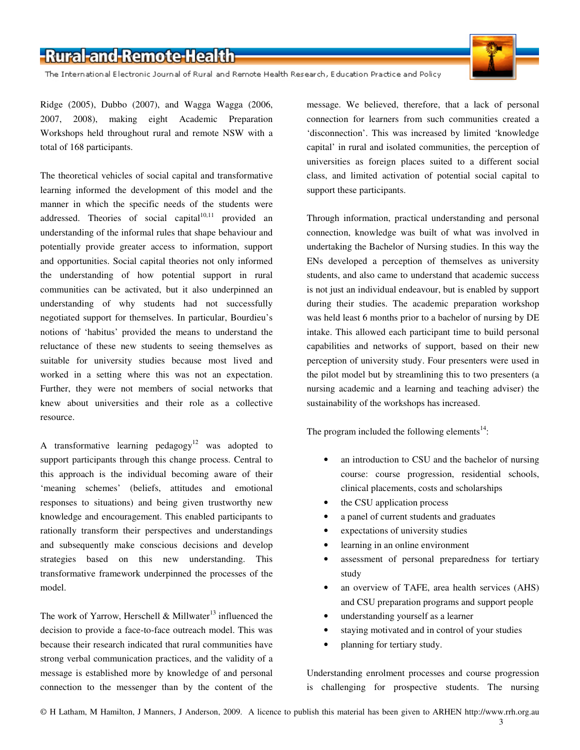The International Electronic Journal of Rural and Remote Health Research, Education Practice and Policy

Ridge (2005), Dubbo (2007), and Wagga Wagga (2006, 2007, 2008), making eight Academic Preparation Workshops held throughout rural and remote NSW with a total of 168 participants.

The theoretical vehicles of social capital and transformative learning informed the development of this model and the manner in which the specific needs of the students were addressed. Theories of social capital $10,11$  provided an understanding of the informal rules that shape behaviour and potentially provide greater access to information, support and opportunities. Social capital theories not only informed the understanding of how potential support in rural communities can be activated, but it also underpinned an understanding of why students had not successfully negotiated support for themselves. In particular, Bourdieu's notions of 'habitus' provided the means to understand the reluctance of these new students to seeing themselves as suitable for university studies because most lived and worked in a setting where this was not an expectation. Further, they were not members of social networks that knew about universities and their role as a collective resource.

A transformative learning pedagogy<sup>12</sup> was adopted to support participants through this change process. Central to this approach is the individual becoming aware of their 'meaning schemes' (beliefs, attitudes and emotional responses to situations) and being given trustworthy new knowledge and encouragement. This enabled participants to rationally transform their perspectives and understandings and subsequently make conscious decisions and develop strategies based on this new understanding. This transformative framework underpinned the processes of the model.

The work of Yarrow, Herschell & Millwater<sup>13</sup> influenced the decision to provide a face-to-face outreach model. This was because their research indicated that rural communities have strong verbal communication practices, and the validity of a message is established more by knowledge of and personal connection to the messenger than by the content of the message. We believed, therefore, that a lack of personal connection for learners from such communities created a 'disconnection'. This was increased by limited 'knowledge capital' in rural and isolated communities, the perception of universities as foreign places suited to a different social class, and limited activation of potential social capital to support these participants.

Through information, practical understanding and personal connection, knowledge was built of what was involved in undertaking the Bachelor of Nursing studies. In this way the ENs developed a perception of themselves as university students, and also came to understand that academic success is not just an individual endeavour, but is enabled by support during their studies. The academic preparation workshop was held least 6 months prior to a bachelor of nursing by DE intake. This allowed each participant time to build personal capabilities and networks of support, based on their new perception of university study. Four presenters were used in the pilot model but by streamlining this to two presenters (a nursing academic and a learning and teaching adviser) the sustainability of the workshops has increased.

The program included the following elements $14$ :

- an introduction to CSU and the bachelor of nursing course: course progression, residential schools, clinical placements, costs and scholarships
- the CSU application process
- a panel of current students and graduates
- expectations of university studies
- learning in an online environment
- assessment of personal preparedness for tertiary study
- an overview of TAFE, area health services (AHS) and CSU preparation programs and support people
- understanding yourself as a learner
- staying motivated and in control of your studies
- planning for tertiary study.

Understanding enrolment processes and course progression is challenging for prospective students. The nursing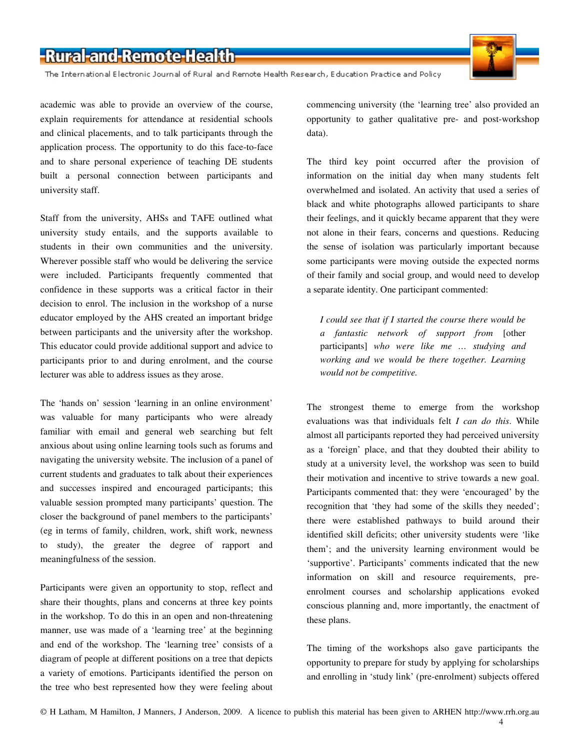The International Electronic Journal of Rural and Remote Health Research, Education Practice and Policy

academic was able to provide an overview of the course, explain requirements for attendance at residential schools and clinical placements, and to talk participants through the application process. The opportunity to do this face-to-face and to share personal experience of teaching DE students built a personal connection between participants and university staff.

Staff from the university, AHSs and TAFE outlined what university study entails, and the supports available to students in their own communities and the university. Wherever possible staff who would be delivering the service were included. Participants frequently commented that confidence in these supports was a critical factor in their decision to enrol. The inclusion in the workshop of a nurse educator employed by the AHS created an important bridge between participants and the university after the workshop. This educator could provide additional support and advice to participants prior to and during enrolment, and the course lecturer was able to address issues as they arose.

The 'hands on' session 'learning in an online environment' was valuable for many participants who were already familiar with email and general web searching but felt anxious about using online learning tools such as forums and navigating the university website. The inclusion of a panel of current students and graduates to talk about their experiences and successes inspired and encouraged participants; this valuable session prompted many participants' question. The closer the background of panel members to the participants' (eg in terms of family, children, work, shift work, newness to study), the greater the degree of rapport and meaningfulness of the session.

Participants were given an opportunity to stop, reflect and share their thoughts, plans and concerns at three key points in the workshop. To do this in an open and non-threatening manner, use was made of a 'learning tree' at the beginning and end of the workshop. The 'learning tree' consists of a diagram of people at different positions on a tree that depicts a variety of emotions. Participants identified the person on the tree who best represented how they were feeling about

commencing university (the 'learning tree' also provided an opportunity to gather qualitative pre- and post-workshop data).

The third key point occurred after the provision of information on the initial day when many students felt overwhelmed and isolated. An activity that used a series of black and white photographs allowed participants to share their feelings, and it quickly became apparent that they were not alone in their fears, concerns and questions. Reducing the sense of isolation was particularly important because some participants were moving outside the expected norms of their family and social group, and would need to develop a separate identity. One participant commented:

*I could see that if I started the course there would be a fantastic network of support from* [other participants] *who were like me … studying and working and we would be there together. Learning would not be competitive.* 

The strongest theme to emerge from the workshop evaluations was that individuals felt *I can do this*. While almost all participants reported they had perceived university as a 'foreign' place, and that they doubted their ability to study at a university level, the workshop was seen to build their motivation and incentive to strive towards a new goal. Participants commented that: they were 'encouraged' by the recognition that 'they had some of the skills they needed'; there were established pathways to build around their identified skill deficits; other university students were 'like them'; and the university learning environment would be 'supportive'. Participants' comments indicated that the new information on skill and resource requirements, preenrolment courses and scholarship applications evoked conscious planning and, more importantly, the enactment of these plans.

The timing of the workshops also gave participants the opportunity to prepare for study by applying for scholarships and enrolling in 'study link' (pre-enrolment) subjects offered

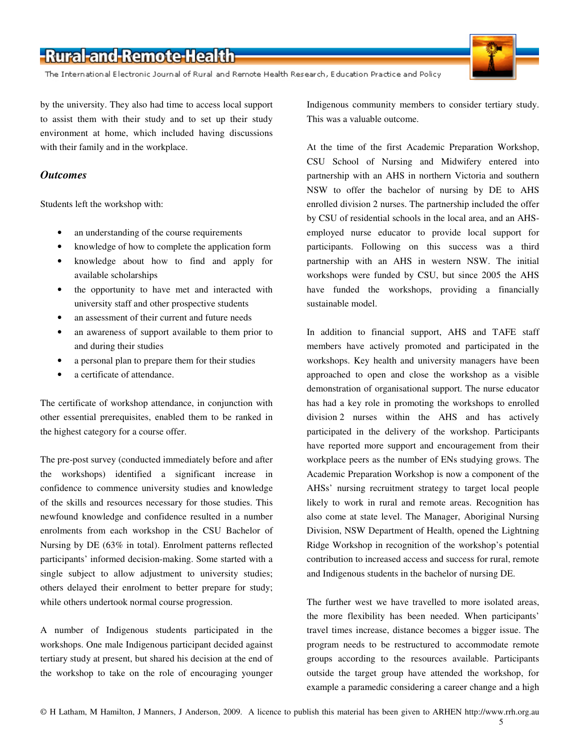The International Electronic Journal of Rural and Remote Health Research, Education Practice and Policy

by the university. They also had time to access local support to assist them with their study and to set up their study environment at home, which included having discussions with their family and in the workplace.

### *Outcomes*

Students left the workshop with:

- an understanding of the course requirements
- knowledge of how to complete the application form
- knowledge about how to find and apply for available scholarships
- the opportunity to have met and interacted with university staff and other prospective students
- an assessment of their current and future needs
- an awareness of support available to them prior to and during their studies
- a personal plan to prepare them for their studies
- a certificate of attendance.

The certificate of workshop attendance, in conjunction with other essential prerequisites, enabled them to be ranked in the highest category for a course offer.

The pre-post survey (conducted immediately before and after the workshops) identified a significant increase in confidence to commence university studies and knowledge of the skills and resources necessary for those studies. This newfound knowledge and confidence resulted in a number enrolments from each workshop in the CSU Bachelor of Nursing by DE (63% in total). Enrolment patterns reflected participants' informed decision-making. Some started with a single subject to allow adjustment to university studies; others delayed their enrolment to better prepare for study; while others undertook normal course progression.

A number of Indigenous students participated in the workshops. One male Indigenous participant decided against tertiary study at present, but shared his decision at the end of the workshop to take on the role of encouraging younger

Indigenous community members to consider tertiary study. This was a valuable outcome.

At the time of the first Academic Preparation Workshop, CSU School of Nursing and Midwifery entered into partnership with an AHS in northern Victoria and southern NSW to offer the bachelor of nursing by DE to AHS enrolled division 2 nurses. The partnership included the offer by CSU of residential schools in the local area, and an AHSemployed nurse educator to provide local support for participants. Following on this success was a third partnership with an AHS in western NSW. The initial workshops were funded by CSU, but since 2005 the AHS have funded the workshops, providing a financially sustainable model.

In addition to financial support, AHS and TAFE staff members have actively promoted and participated in the workshops. Key health and university managers have been approached to open and close the workshop as a visible demonstration of organisational support. The nurse educator has had a key role in promoting the workshops to enrolled division 2 nurses within the AHS and has actively participated in the delivery of the workshop. Participants have reported more support and encouragement from their workplace peers as the number of ENs studying grows. The Academic Preparation Workshop is now a component of the AHSs' nursing recruitment strategy to target local people likely to work in rural and remote areas. Recognition has also come at state level. The Manager, Aboriginal Nursing Division, NSW Department of Health, opened the Lightning Ridge Workshop in recognition of the workshop's potential contribution to increased access and success for rural, remote and Indigenous students in the bachelor of nursing DE.

The further west we have travelled to more isolated areas, the more flexibility has been needed. When participants' travel times increase, distance becomes a bigger issue. The program needs to be restructured to accommodate remote groups according to the resources available. Participants outside the target group have attended the workshop, for example a paramedic considering a career change and a high

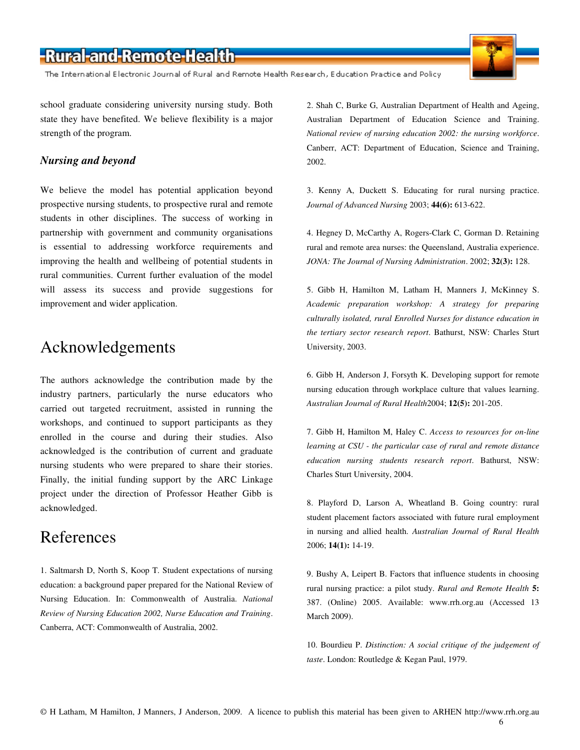The International Electronic Journal of Rural and Remote Health Research, Education Practice and Policy

school graduate considering university nursing study. Both state they have benefited. We believe flexibility is a major strength of the program.

### *Nursing and beyond*

We believe the model has potential application beyond prospective nursing students, to prospective rural and remote students in other disciplines. The success of working in partnership with government and community organisations is essential to addressing workforce requirements and improving the health and wellbeing of potential students in rural communities. Current further evaluation of the model will assess its success and provide suggestions for improvement and wider application.

### Acknowledgements

The authors acknowledge the contribution made by the industry partners, particularly the nurse educators who carried out targeted recruitment, assisted in running the workshops, and continued to support participants as they enrolled in the course and during their studies. Also acknowledged is the contribution of current and graduate nursing students who were prepared to share their stories. Finally, the initial funding support by the ARC Linkage project under the direction of Professor Heather Gibb is acknowledged.

### References

1. Saltmarsh D, North S, Koop T. Student expectations of nursing education: a background paper prepared for the National Review of Nursing Education. In: Commonwealth of Australia. *National Review of Nursing Education 2002, Nurse Education and Training*. Canberra, ACT: Commonwealth of Australia, 2002.

2. Shah C, Burke G, Australian Department of Health and Ageing, Australian Department of Education Science and Training. *National review of nursing education 2002: the nursing workforce*. Canberr, ACT: Department of Education, Science and Training, 2002.

3. Kenny A, Duckett S. Educating for rural nursing practice. *Journal of Advanced Nursing* 2003; **44(6):** 613-622.

4. Hegney D, McCarthy A, Rogers-Clark C, Gorman D. Retaining rural and remote area nurses: the Queensland, Australia experience. *JONA: The Journal of Nursing Administration*. 2002; **32(3):** 128.

5. Gibb H, Hamilton M, Latham H, Manners J, McKinney S. *Academic preparation workshop: A strategy for preparing culturally isolated, rural Enrolled Nurses for distance education in the tertiary sector research report*. Bathurst, NSW: Charles Sturt University, 2003.

6. Gibb H, Anderson J, Forsyth K. Developing support for remote nursing education through workplace culture that values learning. *Australian Journal of Rural Health*2004; **12(5):** 201-205.

7. Gibb H, Hamilton M, Haley C. *Access to resources for on-line learning at CSU - the particular case of rural and remote distance education nursing students research report*. Bathurst, NSW: Charles Sturt University, 2004.

8. Playford D, Larson A, Wheatland B. Going country: rural student placement factors associated with future rural employment in nursing and allied health. *Australian Journal of Rural Health* 2006; **14(1):** 14-19.

9. Bushy A, Leipert B. Factors that influence students in choosing rural nursing practice: a pilot study. *Rural and Remote Health* **5:** 387. (Online) 2005. Available: www.rrh.org.au (Accessed 13 March 2009).

10. Bourdieu P. *Distinction: A social critique of the judgement of taste*. London: Routledge & Kegan Paul, 1979.